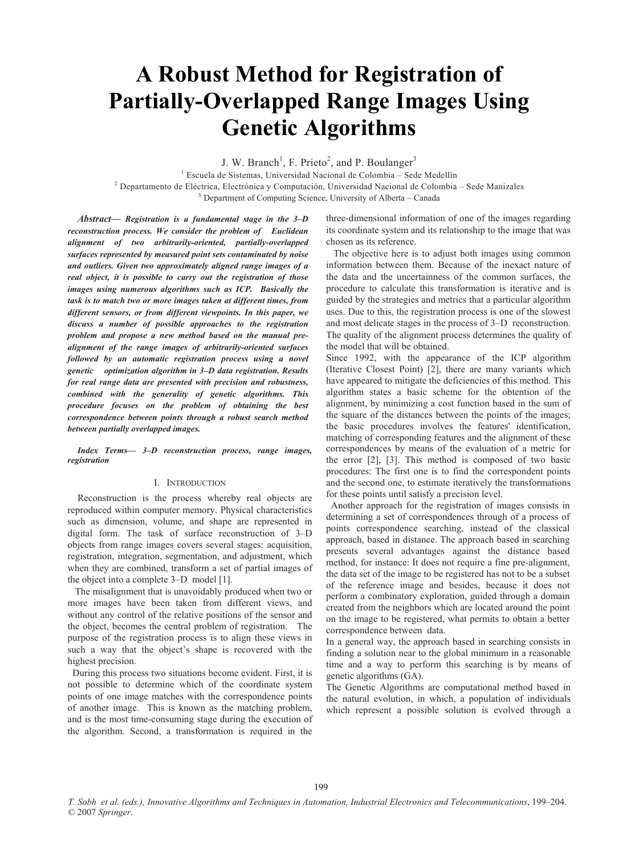# **A Robust Method for Registration of Partially-Overlapped Range Images Using Genetic Algorithms**

J. W. Branch<sup>1</sup>, F. Prieto<sup>2</sup>, and P. Boulanger<sup>3</sup>

<sup>1</sup> Escuela de Sistemas, Universidad Nacional de Colombia - Sede Medellín Escuela de Sistemas, Universidad Nacional de Colombia – Sede Medellín 2 Departamento de Eléctrica, Electrónica y Computación, Universidad Nacional de Colombia – Sede Manizales 3 <sup>3</sup> Department of Computing Science, University of Alberta – Canada

*Abstract***—** *Registration is a fundamental stage in the 3–D reconstruction process. We consider the problem of Euclidean alignment of two arbitrarily-oriented, partially-overlapped surfaces represented by measured point sets contaminated by noise and outliers. Given two approximately aligned range images of a real object, it is possible to carry out the registration of those images using numerous algorithms such as ICP. Basically the task is to match two or more images taken at different times, from different sensors, or from different viewpoints. In this paper, we discuss a number of possible approaches to the registration problem and propose a new method based on the manual prealignment of the range images of arbitrarily-oriented surfaces followed by an automatic registration process using a novel genetic optimization algorithm in 3–D data registration. Results for real range data are presented with precision and robustness, combined with the generality of genetic algorithms. This procedure focuses on the problem of obtaining the best correspondence between points through a robust search method between partially overlapped images.* 

*Index Terms***—** *3–D reconstruction process, range images, registration*

# I. INTRODUCTION

Reconstruction is the process whereby real objects are reproduced within computer memory. Physical characteristics such as dimension, volume, and shape are represented in digital form. The task of surface reconstruction of 3–D objects from range images covers several stages: acquisition, registration, integration, segmentation, and adjustment, which when they are combined, transform a set of partial images of the object into a complete 3–D model [1].

 The misalignment that is unavoidably produced when two or more images have been taken from different views, and without any control of the relative positions of the sensor and the object, becomes the central problem of registration. The purpose of the registration process is to align these views in such a way that the object's shape is recovered with the highest precision.

 During this process two situations become evident. First, it is not possible to determine which of the coordinate system points of one image matches with the correspondence points of another image. This is known as the matching problem, and is the most time-consuming stage during the execution of the algorithm. Second, a transformation is required in the three-dimensional information of one of the images regarding its coordinate system and its relationship to the image that was chosen as its reference.

 The objective here is to adjust both images using common information between them. Because of the inexact nature of the data and the uncertainness of the common surfaces, the procedure to calculate this transformation is iterative and is guided by the strategies and metrics that a particular algorithm uses. Due to this, the registration process is one of the slowest and most delicate stages in the process of 3–D reconstruction. The quality of the alignment process determines the quality of the model that will be obtained.

Since 1992, with the appearance of the ICP algorithm (Iterative Closest Point) [2], there are many variants which have appeared to mitigate the deficiencies of this method. This algorithm states a basic scheme for the obtention of the alignment, by minimizing a cost function based in the sum of the square of the distances between the points of the images; the basic procedures involves the features' identification, matching of corresponding features and the alignment of these correspondences by means of the evaluation of a metric for the error [2], [3]. This method is composed of two basic procedures: The first one is to find the correspondent points and the second one, to estimate iteratively the transformations for these points until satisfy a precision level.

 Another approach for the registration of images consists in determining a set of correspondences through of a process of points correspondence searching, instead of the classical approach, based in distance. The approach based in searching presents several advantages against the distance based method, for instance: It does not require a fine pre-alignment, the data set of the image to be registered has not to be a subset of the reference image and besides, because it does not perform a combinatory exploration, guided through a domain created from the neighbors which are located around the point on the image to be registered, what permits to obtain a better correspondence between data.

In a general way, the approach based in searching consists in finding a solution near to the global minimum in a reasonable time and a way to perform this searching is by means of genetic algorithms (GA).

The Genetic Algorithms are computational method based in the natural evolution, in which, a population of individuals which represent a possible solution is evolved through a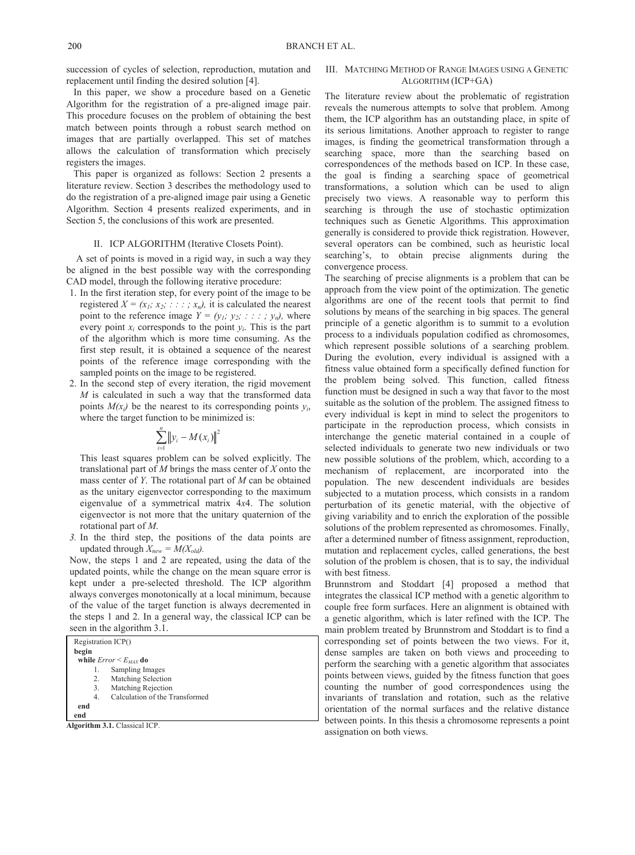succession of cycles of selection, reproduction, mutation and replacement until finding the desired solution [4].

 In this paper, we show a procedure based on a Genetic Algorithm for the registration of a pre-aligned image pair. This procedure focuses on the problem of obtaining the best match between points through a robust search method on images that are partially overlapped. This set of matches allows the calculation of transformation which precisely registers the images.

 This paper is organized as follows: Section 2 presents a literature review. Section 3 describes the methodology used to do the registration of a pre-aligned image pair using a Genetic Algorithm. Section 4 presents realized experiments, and in Section 5, the conclusions of this work are presented.

## II. ICP ALGORITHM (Iterative Closets Point).

A set of points is moved in a rigid way, in such a way they be aligned in the best possible way with the corresponding CAD model, through the following iterative procedure:

- 1. In the first iteration step, for every point of the image to be registered  $X = (x_1, x_2, \ldots, x_n)$ , it is calculated the nearest point to the reference image  $Y = (y_1, y_2, \ldots, y_n)$ , where every point  $x_i$  corresponds to the point  $y_i$ . This is the part of the algorithm which is more time consuming. As the first step result, it is obtained a sequence of the nearest points of the reference image corresponding with the sampled points on the image to be registered.
- 2. In the second step of every iteration, the rigid movement *M* is calculated in such a way that the transformed data points  $M(x_i)$  be the nearest to its corresponding points  $y_i$ , where the target function to be minimized is:

$$
\sum_{i=1}^n \left\| y_i - M(x_i) \right\|^2
$$

This least squares problem can be solved explicitly. The translational part of *M* brings the mass center of *X* onto the mass center of *Y*. The rotational part of *M* can be obtained as the unitary eigenvector corresponding to the maximum eigenvalue of a symmetrical matrix 4*x*4. The solution eigenvector is not more that the unitary quaternion of the rotational part of *M*.

*3.* In the third step, the positions of the data points are updated through  $X_{new} = M(X_{old})$ .

Now, the steps 1 and 2 are repeated, using the data of the updated points, while the change on the mean square error is kept under a pre-selected threshold. The ICP algorithm always converges monotonically at a local minimum, because of the value of the target function is always decremented in the steps 1 and 2. In a general way, the classical ICP can be seen in the algorithm 3.1.

| Registration ICP() |                                |
|--------------------|--------------------------------|
| begin              |                                |
|                    | while $Error \leq E_{MAX}$ do  |
|                    | Sampling Images                |
| 2.                 | Matching Selection             |
| 3.                 | Matching Rejection             |
| 4                  | Calculation of the Transformed |
| end                |                                |
| end                |                                |
|                    | Algorithm 3.1. Classical ICP   |

#### **Algorithm 3.1.** Classical ICP.

# III. MATCHING METHOD OF RANGE IMAGES USING A GENETIC ALGORITHM (ICP+GA)

The literature review about the problematic of registration reveals the numerous attempts to solve that problem. Among them, the ICP algorithm has an outstanding place, in spite of its serious limitations. Another approach to register to range images, is finding the geometrical transformation through a searching space, more than the searching based on correspondences of the methods based on ICP. In these case, the goal is finding a searching space of geometrical transformations, a solution which can be used to align precisely two views. A reasonable way to perform this searching is through the use of stochastic optimization techniques such as Genetic Algorithms. This approximation generally is considered to provide thick registration. However, several operators can be combined, such as heuristic local searching's, to obtain precise alignments during the convergence process.

The searching of precise alignments is a problem that can be approach from the view point of the optimization. The genetic algorithms are one of the recent tools that permit to find solutions by means of the searching in big spaces. The general principle of a genetic algorithm is to summit to a evolution process to a individuals population codified as chromosomes, which represent possible solutions of a searching problem. During the evolution, every individual is assigned with a fitness value obtained form a specifically defined function for the problem being solved. This function, called fitness function must be designed in such a way that favor to the most suitable as the solution of the problem. The assigned fitness to every individual is kept in mind to select the progenitors to participate in the reproduction process, which consists in interchange the genetic material contained in a couple of selected individuals to generate two new individuals or two new possible solutions of the problem, which, according to a mechanism of replacement, are incorporated into the population. The new descendent individuals are besides subjected to a mutation process, which consists in a random perturbation of its genetic material, with the objective of giving variability and to enrich the exploration of the possible solutions of the problem represented as chromosomes. Finally, after a determined number of fitness assignment, reproduction, mutation and replacement cycles, called generations, the best solution of the problem is chosen, that is to say, the individual with best fitness.

Brunnstrom and Stoddart [4] proposed a method that integrates the classical ICP method with a genetic algorithm to couple free form surfaces. Here an alignment is obtained with a genetic algorithm, which is later refined with the ICP. The main problem treated by Brunnstrom and Stoddart is to find a corresponding set of points between the two views. For it, dense samples are taken on both views and proceeding to perform the searching with a genetic algorithm that associates points between views, guided by the fitness function that goes counting the number of good correspondences using the invariants of translation and rotation, such as the relative orientation of the normal surfaces and the relative distance between points. In this thesis a chromosome represents a point assignation on both views.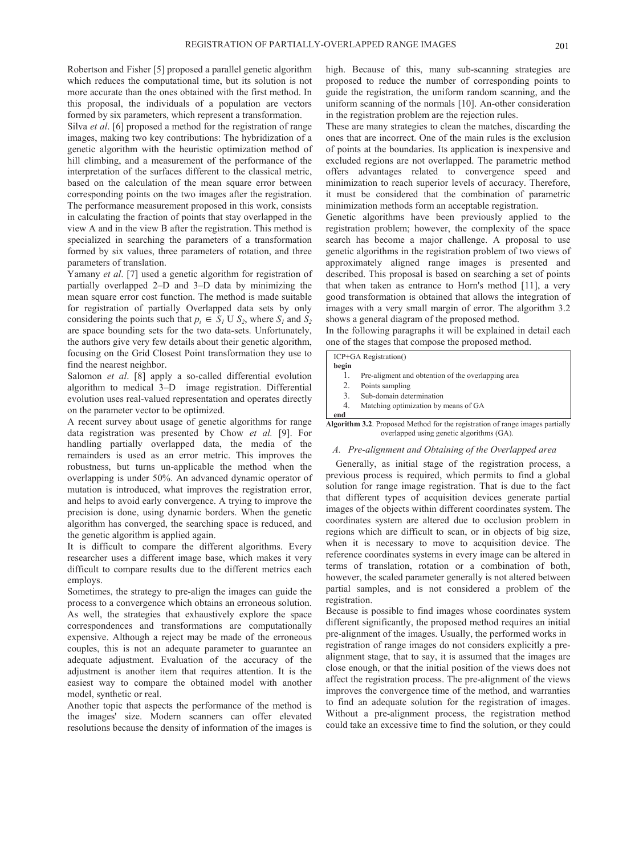Robertson and Fisher [5] proposed a parallel genetic algorithm which reduces the computational time, but its solution is not more accurate than the ones obtained with the first method. In this proposal, the individuals of a population are vectors formed by six parameters, which represent a transformation.

Silva *et al*. [6] proposed a method for the registration of range images, making two key contributions: The hybridization of a genetic algorithm with the heuristic optimization method of hill climbing, and a measurement of the performance of the interpretation of the surfaces different to the classical metric, based on the calculation of the mean square error between corresponding points on the two images after the registration. The performance measurement proposed in this work, consists in calculating the fraction of points that stay overlapped in the view A and in the view B after the registration. This method is specialized in searching the parameters of a transformation formed by six values, three parameters of rotation, and three parameters of translation.

Yamany *et al*. [7] used a genetic algorithm for registration of partially overlapped 2–D and 3–D data by minimizing the mean square error cost function. The method is made suitable for registration of partially Overlapped data sets by only considering the points such that  $p_i \in S_I \cup S_2$ , where  $S_I$  and  $S_2$ are space bounding sets for the two data-sets. Unfortunately, the authors give very few details about their genetic algorithm, focusing on the Grid Closest Point transformation they use to find the nearest neighbor.

Salomon *et al*. [8] apply a so-called differential evolution algorithm to medical 3–D image registration. Differential evolution uses real-valued representation and operates directly on the parameter vector to be optimized.

A recent survey about usage of genetic algorithms for range data registration was presented by Chow *et al.* [9]. For handling partially overlapped data, the media of the remainders is used as an error metric. This improves the robustness, but turns un-applicable the method when the overlapping is under 50%. An advanced dynamic operator of mutation is introduced, what improves the registration error, and helps to avoid early convergence. A trying to improve the precision is done, using dynamic borders. When the genetic algorithm has converged, the searching space is reduced, and the genetic algorithm is applied again.

It is difficult to compare the different algorithms. Every researcher uses a different image base, which makes it very difficult to compare results due to the different metrics each employs.

Sometimes, the strategy to pre-align the images can guide the process to a convergence which obtains an erroneous solution. As well, the strategies that exhaustively explore the space correspondences and transformations are computationally expensive. Although a reject may be made of the erroneous couples, this is not an adequate parameter to guarantee an adequate adjustment. Evaluation of the accuracy of the adjustment is another item that requires attention. It is the easiest way to compare the obtained model with another model, synthetic or real.

Another topic that aspects the performance of the method is the images' size. Modern scanners can offer elevated resolutions because the density of information of the images is high. Because of this, many sub-scanning strategies are proposed to reduce the number of corresponding points to guide the registration, the uniform random scanning, and the uniform scanning of the normals [10]. An-other consideration in the registration problem are the rejection rules.

These are many strategies to clean the matches, discarding the ones that are incorrect. One of the main rules is the exclusion of points at the boundaries. Its application is inexpensive and excluded regions are not overlapped. The parametric method offers advantages related to convergence speed and minimization to reach superior levels of accuracy. Therefore, it must be considered that the combination of parametric minimization methods form an acceptable registration.

Genetic algorithms have been previously applied to the registration problem; however, the complexity of the space search has become a major challenge. A proposal to use genetic algorithms in the registration problem of two views of approximately aligned range images is presented and described. This proposal is based on searching a set of points that when taken as entrance to Horn's method [11], a very good transformation is obtained that allows the integration of images with a very small margin of error. The algorithm 3.2 shows a general diagram of the proposed method.

In the following paragraphs it will be explained in detail each one of the stages that compose the proposed method.

|                                                                               | ICP+GA Registration()                              |  |  |  |
|-------------------------------------------------------------------------------|----------------------------------------------------|--|--|--|
| begin                                                                         |                                                    |  |  |  |
|                                                                               | Pre-aligment and obtention of the overlapping area |  |  |  |
| 2.                                                                            | Points sampling                                    |  |  |  |
| 3.                                                                            | Sub-domain determination                           |  |  |  |
| 4.                                                                            | Matching optimization by means of GA               |  |  |  |
| end                                                                           |                                                    |  |  |  |
| Algorithm 3.2. Proposed Method for the registration of range images partially |                                                    |  |  |  |
|                                                                               | overlapped using genetic algorithms (GA).          |  |  |  |

# *A. Pre-alignment and Obtaining of the Overlapped area*

Generally, as initial stage of the registration process, a previous process is required, which permits to find a global solution for range image registration. That is due to the fact that different types of acquisition devices generate partial images of the objects within different coordinates system. The coordinates system are altered due to occlusion problem in regions which are difficult to scan, or in objects of big size, when it is necessary to move to acquisition device. The reference coordinates systems in every image can be altered in terms of translation, rotation or a combination of both, however, the scaled parameter generally is not altered between partial samples, and is not considered a problem of the registration.

Because is possible to find images whose coordinates system different significantly, the proposed method requires an initial pre-alignment of the images. Usually, the performed works in registration of range images do not considers explicitly a prealignment stage, that to say, it is assumed that the images are close enough, or that the initial position of the views does not affect the registration process. The pre-alignment of the views improves the convergence time of the method, and warranties to find an adequate solution for the registration of images. Without a pre-alignment process, the registration method could take an excessive time to find the solution, or they could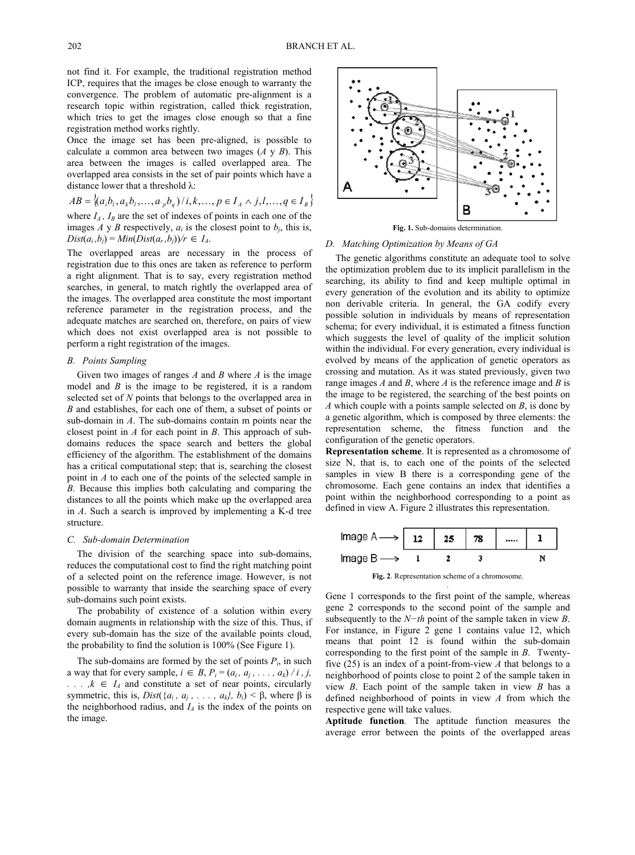not find it. For example, the traditional registration method ICP, requires that the images be close enough to warranty the convergence. The problem of automatic pre-alignment is a research topic within registration, called thick registration, which tries to get the images close enough so that a fine registration method works rightly.

Once the image set has been pre-aligned, is possible to calculate a common area between two images (*A* y *B*). This area between the images is called overlapped area. The overlapped area consists in the set of pair points which have a distance lower that a threshold λ:

$$
AB = \{(a_i, b_i, a_k, b_i, \dots, a_p, b_q) / i, k, \dots, p \in I_A \land j, l, \dots, q \in I_B \}
$$
  
where  $I_A$ ,  $I_B$  are the set of indexes of points in each one of the  
images  $A \circ B$  respectively,  $a_i$  is the closest point to  $b_j$ , this is,  
 $Dist(a_i, b_j) = Min(Dist(a_i, b_j)) / r \in I_A$ .

The overlapped areas are necessary in the process of registration due to this ones are taken as reference to perform a right alignment. That is to say, every registration method searches, in general, to match rightly the overlapped area of the images. The overlapped area constitute the most important reference parameter in the registration process, and the adequate matches are searched on, therefore, on pairs of view which does not exist overlapped area is not possible to perform a right registration of the images.

## *B. Points Sampling*

Given two images of ranges *A* and *B* where *A* is the image model and *B* is the image to be registered, it is a random selected set of *N* points that belongs to the overlapped area in *B* and establishes, for each one of them, a subset of points or sub-domain in *A*. The sub-domains contain m points near the closest point in *A* for each point in *B*. This approach of subdomains reduces the space search and betters the global efficiency of the algorithm. The establishment of the domains has a critical computational step; that is, searching the closest point in *A* to each one of the points of the selected sample in *B.* Because this implies both calculating and comparing the distances to all the points which make up the overlapped area in *A*. Such a search is improved by implementing a K-d tree structure.

### *C. Sub-domain Determination*

The division of the searching space into sub-domains, reduces the computational cost to find the right matching point of a selected point on the reference image. However, is not possible to warranty that inside the searching space of every sub-domains such point exists.

The probability of existence of a solution within every domain augments in relationship with the size of this. Thus, if every sub-domain has the size of the available points cloud, the probability to find the solution is 100% (See Figure 1).

The sub-domains are formed by the set of points *Pi*, in such a way that for every sample,  $i \in B$ ,  $P_i = (a_i, a_j, \ldots, a_k) / i$ , *j*, *. . . ,k* ∈  $I_4$  and constitute a set of near points, circularly symmetric, this is,  $Dist({a_i, a_j, \ldots, a_k}, b_i) < \beta$ , where  $\beta$  is the neighborhood radius, and  $I<sub>A</sub>$  is the index of the points on the image.



# *D. Matching Optimization by Means of GA*

The genetic algorithms constitute an adequate tool to solve the optimization problem due to its implicit parallelism in the searching, its ability to find and keep multiple optimal in every generation of the evolution and its ability to optimize non derivable criteria. In general, the GA codify every possible solution in individuals by means of representation schema; for every individual, it is estimated a fitness function which suggests the level of quality of the implicit solution within the individual. For every generation, every individual is evolved by means of the application of genetic operators as crossing and mutation. As it was stated previously, given two range images *A* and *B*, where *A* is the reference image and *B* is the image to be registered, the searching of the best points on *A* which couple with a points sample selected on *B*, is done by a genetic algorithm, which is composed by three elements: the representation scheme, the fitness function and the configuration of the genetic operators.

**Representation scheme**. It is represented as a chromosome of size N, that is, to each one of the points of the selected samples in view B there is a corresponding gene of the chromosome. Each gene contains an index that identifies a point within the neighborhood corresponding to a point as defined in view A. Figure 2 illustrates this representation.



**Fig. 2**. Representation scheme of a chromosome. .

Gene 1 corresponds to the first point of the sample, whereas gene 2 corresponds to the second point of the sample and subsequently to the *N−th* point of the sample taken in view *B*. For instance, in Figure 2 gene 1 contains value 12, which means that point 12 is found within the sub-domain corresponding to the first point of the sample in *B*. Twentyfive (25) is an index of a point-from-view *A* that belongs to a neighborhood of points close to point 2 of the sample taken in view *B*. Each point of the sample taken in view *B* has a defined neighborhood of points in view *A* from which the respective gene will take values.

**Aptitude function***.* The aptitude function measures the average error between the points of the overlapped areas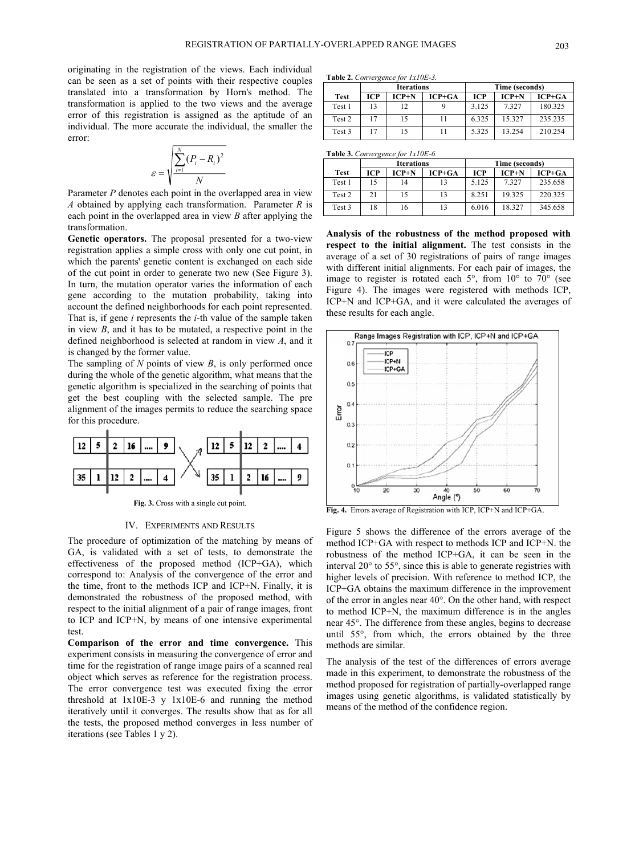originating in the registration of the views. Each individual can be seen as a set of points with their respective couples translated into a transformation by Horn's method. The transformation is applied to the two views and the average error of this registration is assigned as the aptitude of an individual. The more accurate the individual, the smaller the error:

$$
\varepsilon = \sqrt{\frac{\sum_{i=1}^{N} (P_i - R_i)^2}{N}}
$$

Parameter *P* denotes each point in the overlapped area in view *A* obtained by applying each transformation. Parameter *R* is each point in the overlapped area in view *B* after applying the transformation.

**Genetic operators.** The proposal presented for a two-view registration applies a simple cross with only one cut point, in which the parents' genetic content is exchanged on each side of the cut point in order to generate two new (See Figure 3). In turn, the mutation operator varies the information of each gene according to the mutation probability, taking into account the defined neighborhoods for each point represented. That is, if gene *i* represents the *i*-th value of the sample taken in view *B*, and it has to be mutated, a respective point in the defined neighborhood is selected at random in view *A*, and it is changed by the former value.

The sampling of *N* points of view *B*, is only performed once during the whole of the genetic algorithm, what means that the genetic algorithm is specialized in the searching of points that get the best coupling with the selected sample. The pre alignment of the images permits to reduce the searching space for this procedure.



**Fig. 3.** Cross with a single cut point.

## IV. EXPERIMENTS AND RESULTS

The procedure of optimization of the matching by means of GA, is validated with a set of tests, to demonstrate the effectiveness of the proposed method (ICP+GA), which correspond to: Analysis of the convergence of the error and the time, front to the methods ICP and ICP+N. Finally, it is demonstrated the robustness of the proposed method, with respect to the initial alignment of a pair of range images, front to ICP and ICP+N, by means of one intensive experimental test.

**Comparison of the error and time convergence.** This experiment consists in measuring the convergence of error and time for the registration of range image pairs of a scanned real object which serves as reference for the registration process. The error convergence test was executed fixing the error threshold at 1x10E-3 y 1x10E-6 and running the method iteratively until it converges. The results show that as for all the tests, the proposed method converges in less number of iterations (see Tables 1 y 2).

**Table 2.** *Convergence for 1x10E-3.*

|             |     | <b>Iterations</b> |          | Time (seconds) |         |          |
|-------------|-----|-------------------|----------|----------------|---------|----------|
| <b>Test</b> | IСP | $ICP+N$           | $ICP+GA$ | ICP            | $ICP+N$ | $ICP+GA$ |
| Test 1      | 13  | 12                |          | 3.125          | 7.327   | 180 325  |
| Test 2      |     | 15                |          | 6.325          | 15 327  | 235 235  |
| Test 3      |     | 15                |          | 5.325          | 13 2 54 | 210 254  |

**Table 3.** *Convergence for 1x10E-6.*

|             |            | <b>Iterations</b> |          | Time (seconds) |         |          |
|-------------|------------|-------------------|----------|----------------|---------|----------|
| <b>Test</b> | <b>ICP</b> | $ICP+N$           | $ICP+GA$ | <b>ICP</b>     | $ICP+N$ | $ICP+GA$ |
| Test 1      |            | 14                | 13       | 5.125          | 7327    | 235.658  |
| Test 2      | 21         | 15                | 13       | 8.251          | 19.325  | 220.325  |
| Test 3      | 18         | 16                | 13       | 6.016          | 18 327  | 345.658  |

**Analysis of the robustness of the method proposed with respect to the initial alignment.** The test consists in the average of a set of 30 registrations of pairs of range images with different initial alignments. For each pair of images, the image to register is rotated each  $5^\circ$ , from  $10^\circ$  to  $70^\circ$  (see Figure 4). The images were registered with methods ICP, ICP+N and ICP+GA, and it were calculated the averages of these results for each angle.



**Fig. 4.** Errors average of Registration with ICP, ICP+N and ICP+GA.

Figure 5 shows the difference of the errors average of the method ICP+GA with respect to methods ICP and ICP+N. the robustness of the method ICP+GA, it can be seen in the interval 20° to 55°, since this is able to generate registries with higher levels of precision. With reference to method ICP, the ICP+GA obtains the maximum difference in the improvement of the error in angles near 40°. On the other hand, with respect to method ICP+N, the maximum difference is in the angles near 45°. The difference from these angles, begins to decrease until 55°, from which, the errors obtained by the three methods are similar.

The analysis of the test of the differences of errors average made in this experiment, to demonstrate the robustness of the method proposed for registration of partially-overlapped range images using genetic algorithms, is validated statistically by means of the method of the confidence region.